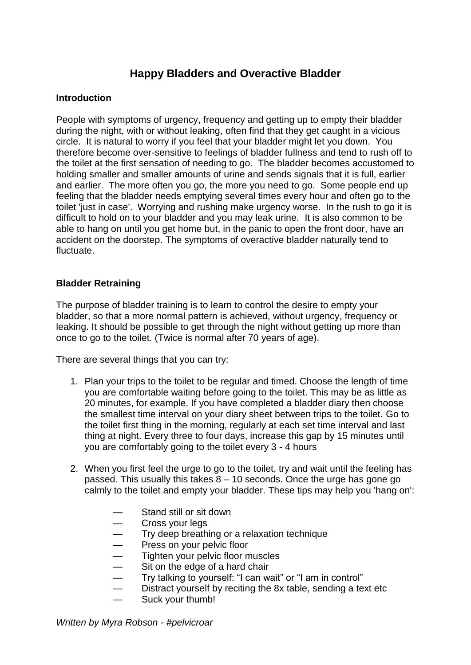# **Happy Bladders and Overactive Bladder**

### **Introduction**

People with symptoms of urgency, frequency and getting up to empty their bladder during the night, with or without leaking, often find that they get caught in a vicious circle. It is natural to worry if you feel that your bladder might let you down. You therefore become over-sensitive to feelings of bladder fullness and tend to rush off to the toilet at the first sensation of needing to go. The bladder becomes accustomed to holding smaller and smaller amounts of urine and sends signals that it is full, earlier and earlier. The more often you go, the more you need to go. Some people end up feeling that the bladder needs emptying several times every hour and often go to the toilet 'just in case'. Worrying and rushing make urgency worse. In the rush to go it is difficult to hold on to your bladder and you may leak urine. It is also common to be able to hang on until you get home but, in the panic to open the front door, have an accident on the doorstep. The symptoms of overactive bladder naturally tend to fluctuate.

### **Bladder Retraining**

The purpose of bladder training is to learn to control the desire to empty your bladder, so that a more normal pattern is achieved, without urgency, frequency or leaking. It should be possible to get through the night without getting up more than once to go to the toilet. (Twice is normal after 70 years of age).

There are several things that you can try:

- 1. Plan your trips to the toilet to be regular and timed. Choose the length of time you are comfortable waiting before going to the toilet. This may be as little as 20 minutes, for example. If you have completed a bladder diary then choose the smallest time interval on your diary sheet between trips to the toilet. Go to the toilet first thing in the morning, regularly at each set time interval and last thing at night. Every three to four days, increase this gap by 15 minutes until you are comfortably going to the toilet every 3 - 4 hours
- 2. When you first feel the urge to go to the toilet, try and wait until the feeling has passed. This usually this takes 8 – 10 seconds. Once the urge has gone go calmly to the toilet and empty your bladder. These tips may help you 'hang on':
	- Stand still or sit down
	- Cross your legs
	- Try deep breathing or a relaxation technique
	- Press on your pelvic floor<br>— Tighten your pelvic floor m
	- Tighten your pelvic floor muscles<br>— Sit on the edge of a hard chair
	- Sit on the edge of a hard chair
	- Try talking to yourself: "I can wait" or "I am in control"
	- Distract yourself by reciting the 8x table, sending a text etc
	- Suck your thumb!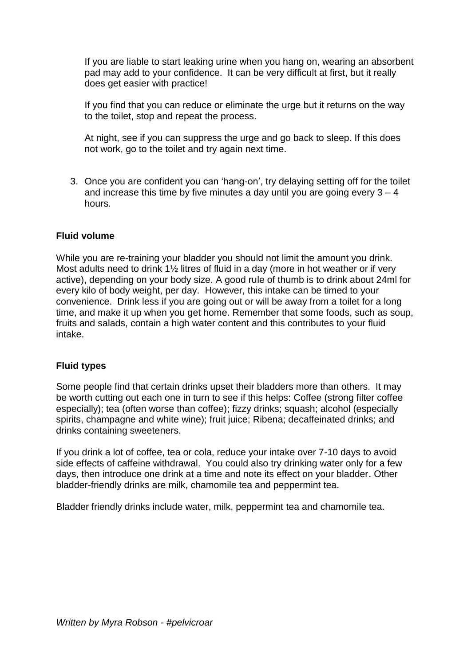If you are liable to start leaking urine when you hang on, wearing an absorbent pad may add to your confidence. It can be very difficult at first, but it really does get easier with practice!

If you find that you can reduce or eliminate the urge but it returns on the way to the toilet, stop and repeat the process.

At night, see if you can suppress the urge and go back to sleep. If this does not work, go to the toilet and try again next time.

3. Once you are confident you can 'hang-on', try delaying setting off for the toilet and increase this time by five minutes a day until you are going every  $3 - 4$ hours.

### **Fluid volume**

While you are re-training your bladder you should not limit the amount you drink. Most adults need to drink 1½ litres of fluid in a day (more in hot weather or if very active), depending on your body size. A good rule of thumb is to drink about 24ml for every kilo of body weight, per day. However, this intake can be timed to your convenience. Drink less if you are going out or will be away from a toilet for a long time, and make it up when you get home. Remember that some foods, such as soup, fruits and salads, contain a high water content and this contributes to your fluid intake.

#### **Fluid types**

Some people find that certain drinks upset their bladders more than others. It may be worth cutting out each one in turn to see if this helps: Coffee (strong filter coffee especially); tea (often worse than coffee); fizzy drinks; squash; alcohol (especially spirits, champagne and white wine); fruit juice; Ribena; decaffeinated drinks; and drinks containing sweeteners.

If you drink a lot of coffee, tea or cola, reduce your intake over 7-10 days to avoid side effects of caffeine withdrawal. You could also try drinking water only for a few days, then introduce one drink at a time and note its effect on your bladder. Other bladder-friendly drinks are milk, chamomile tea and peppermint tea.

Bladder friendly drinks include water, milk, peppermint tea and chamomile tea.